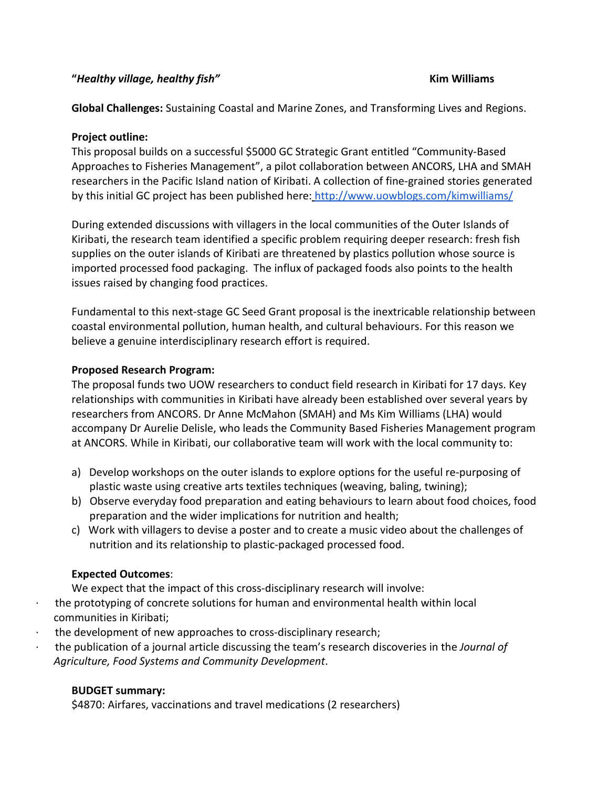#### **"***Healthy village, healthy fish"* **Kim Williams**

**Global Challenges:** Sustaining Coastal and Marine Zones, and Transforming Lives and Regions.

### **Project outline:**

This proposal builds on a successful \$5000 GC Strategic Grant entitled "Community-Based Approaches to Fisheries Management", a pilot collaboration between ANCORS, LHA and SMAH researchers in the Pacific Island nation of Kiribati. A collection of fine-grained stories generated by this initial GC project has been published here: <http://www.uowblogs.com/kimwilliams/>

During extended discussions with villagers in the local communities of the Outer Islands of Kiribati, the research team identified a specific problem requiring deeper research: fresh fish supplies on the outer islands of Kiribati are threatened by plastics pollution whose source is imported processed food packaging. The influx of packaged foods also points to the health issues raised by changing food practices.

Fundamental to this next-stage GC Seed Grant proposal is the inextricable relationship between coastal environmental pollution, human health, and cultural behaviours. For this reason we believe a genuine interdisciplinary research effort is required.

#### **Proposed Research Program:**

The proposal funds two UOW researchers to conduct field research in Kiribati for 17 days. Key relationships with communities in Kiribati have already been established over several years by researchers from ANCORS. Dr Anne McMahon (SMAH) and Ms Kim Williams (LHA) would accompany Dr Aurelie Delisle, who leads the Community Based Fisheries Management program at ANCORS. While in Kiribati, our collaborative team will work with the local community to:

- a) Develop workshops on the outer islands to explore options for the useful re-purposing of plastic waste using creative arts textiles techniques (weaving, baling, twining);
- b) Observe everyday food preparation and eating behaviours to learn about food choices, food preparation and the wider implications for nutrition and health;
- c) Work with villagers to devise a poster and to create a music video about the challenges of nutrition and its relationship to plastic-packaged processed food.

# **Expected Outcomes**:

We expect that the impact of this cross-disciplinary research will involve:

- · the prototyping of concrete solutions for human and environmental health within local communities in Kiribati;
- the development of new approaches to cross-disciplinary research;
- · the publication of a journal article discussing the team's research discoveries in the *Journal of Agriculture, Food Systems and Community Development*.

# **BUDGET summary:**

\$4870: Airfares, vaccinations and travel medications (2 researchers)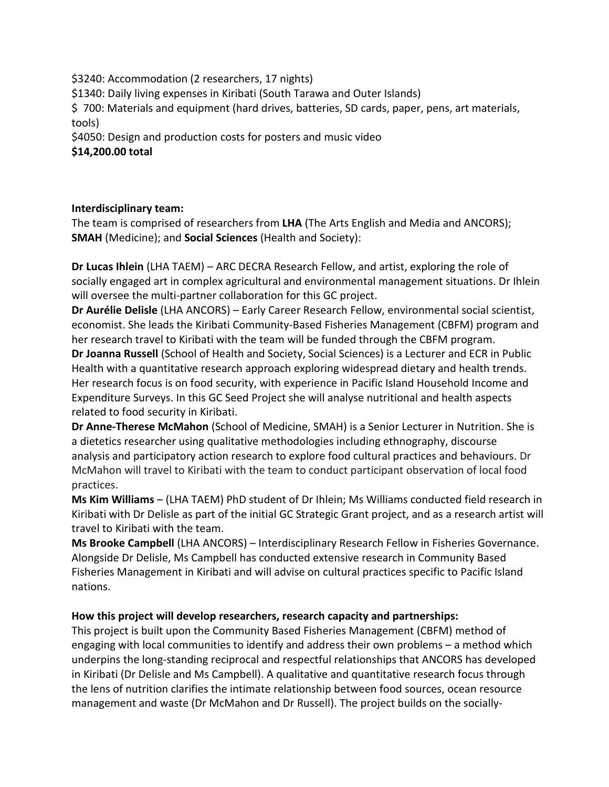\$3240: Accommodation (2 researchers, 17 nights)

\$1340: Daily living expenses in Kiribati (South Tarawa and Outer Islands)

\$ 700: Materials and equipment (hard drives, batteries, SD cards, paper, pens, art materials, tools)

\$4050: Design and production costs for posters and music video

**\$14,200.00 total**

# **Interdisciplinary team:**

The team is comprised of researchers from **LHA** (The Arts English and Media and ANCORS); **SMAH** (Medicine); and **Social Sciences** (Health and Society):

**Dr Lucas Ihlein** (LHA TAEM) – ARC DECRA Research Fellow, and artist, exploring the role of socially engaged art in complex agricultural and environmental management situations. Dr Ihlein will oversee the multi-partner collaboration for this GC project.

**Dr Aurélie Delisle** (LHA ANCORS) – Early Career Research Fellow, environmental social scientist, economist. She leads the Kiribati Community-Based Fisheries Management (CBFM) program and her research travel to Kiribati with the team will be funded through the CBFM program.

**Dr Joanna Russell** (School of Health and Society, Social Sciences) is a Lecturer and ECR in Public Health with a quantitative research approach exploring widespread dietary and health trends. Her research focus is on food security, with experience in Pacific Island Household Income and Expenditure Surveys. In this GC Seed Project she will analyse nutritional and health aspects related to food security in Kiribati.

**Dr Anne-Therese McMahon** (School of Medicine, SMAH) is a Senior Lecturer in Nutrition. She is a dietetics researcher using qualitative methodologies including ethnography, discourse analysis and participatory action research to explore food cultural practices and behaviours. Dr McMahon will travel to Kiribati with the team to conduct participant observation of local food practices.

**Ms Kim Williams** – (LHA TAEM) PhD student of Dr Ihlein; Ms Williams conducted field research in Kiribati with Dr Delisle as part of the initial GC Strategic Grant project, and as a research artist will travel to Kiribati with the team.

**Ms Brooke Campbell** (LHA ANCORS) – Interdisciplinary Research Fellow in Fisheries Governance. Alongside Dr Delisle, Ms Campbell has conducted extensive research in Community Based Fisheries Management in Kiribati and will advise on cultural practices specific to Pacific Island nations.

# **How this project will develop researchers, research capacity and partnerships:**

This project is built upon the Community Based Fisheries Management (CBFM) method of engaging with local communities to identify and address their own problems – a method which underpins the long-standing reciprocal and respectful relationships that ANCORS has developed in Kiribati (Dr Delisle and Ms Campbell). A qualitative and quantitative research focus through the lens of nutrition clarifies the intimate relationship between food sources, ocean resource management and waste (Dr McMahon and Dr Russell). The project builds on the socially